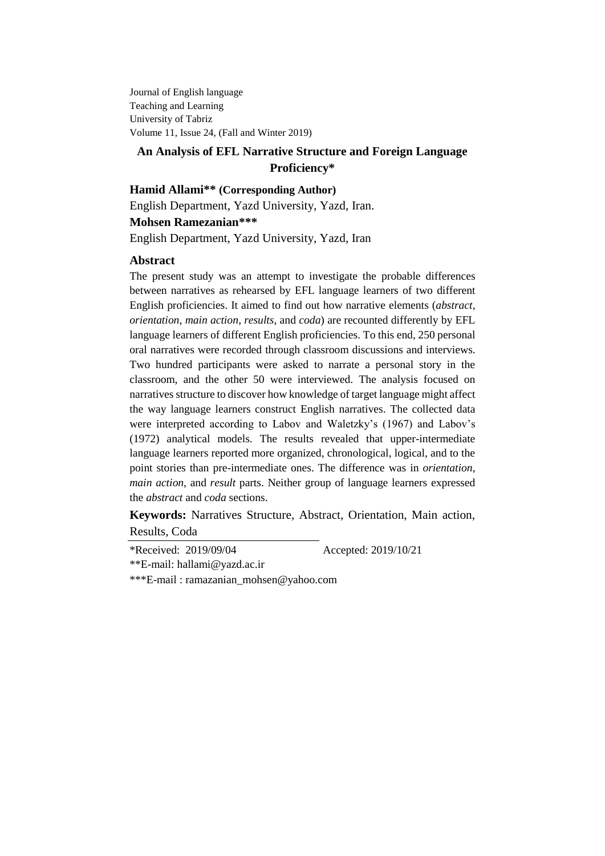Journal of English language Teaching and Learning University of Tabriz Volume 11, Issue 24, (Fall and Winter 2019)

# **An Analysis of EFL Narrative Structure and Foreign Language Proficiency\***

# **Hamid Allami\*\* (Corresponding Author)**

English Department, Yazd University, Yazd, Iran.

# **Mohsen Ramezanian\*\*\***

English Department, Yazd University, Yazd, Iran

# **Abstract**

The present study was an attempt to investigate the probable differences between narratives as rehearsed by EFL language learners of two different English proficiencies. It aimed to find out how narrative elements (*abstract*, *orientation*, *main action*, *results*, and *coda*) are recounted differently by EFL language learners of different English proficiencies. To this end, 250 personal oral narratives were recorded through classroom discussions and interviews. Two hundred participants were asked to narrate a personal story in the classroom, and the other 50 were interviewed. The analysis focused on narratives structure to discover how knowledge of target language might affect the way language learners construct English narratives. The collected data were interpreted according to Labov and Waletzky's (1967) and Labov's (1972) analytical models. The results revealed that upper-intermediate language learners reported more organized, chronological, logical, and to the point stories than pre-intermediate ones. The difference was in *orientation*, *main action*, and *result* parts. Neither group of language learners expressed the *abstract* and *coda* sections.

**Keywords:** Narratives Structure, Abstract, Orientation, Main action, Results, Coda

\*Received: 2019/09/04 Accepted: 2019/10/21

\*\*E-mail: [hallami@yazd.ac.ir](mailto:h.allami@modares.ac.ir)

\*\*\*E-mail : ramazanian\_mohsen@yahoo.com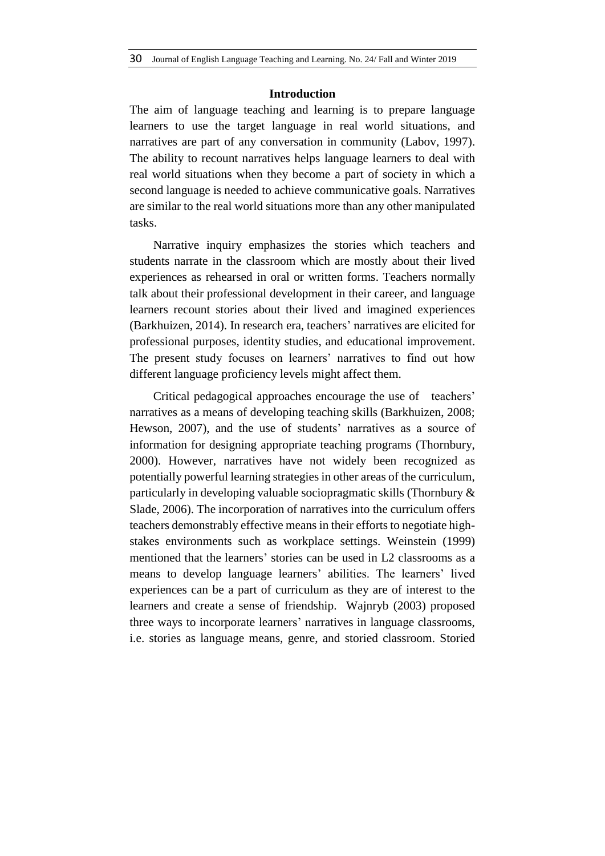### **Introduction**

The aim of language teaching and learning is to prepare language learners to use the target language in real world situations, and narratives are part of any conversation in community (Labov, 1997). The ability to recount narratives helps language learners to deal with real world situations when they become a part of society in which a second language is needed to achieve communicative goals. Narratives are similar to the real world situations more than any other manipulated tasks.

Narrative inquiry emphasizes the stories which teachers and students narrate in the classroom which are mostly about their lived experiences as rehearsed in oral or written forms. Teachers normally talk about their professional development in their career, and language learners recount stories about their lived and imagined experiences (Barkhuizen, 2014). In research era, teachers' narratives are elicited for professional purposes, identity studies, and educational improvement. The present study focuses on learners' narratives to find out how different language proficiency levels might affect them.

Critical pedagogical approaches encourage the use of teachers' narratives as a means of developing teaching skills (Barkhuizen, 2008; Hewson, 2007), and the use of students' narratives as a source of information for designing appropriate teaching programs (Thornbury, 2000). However, narratives have not widely been recognized as potentially powerful learning strategies in other areas of the curriculum, particularly in developing valuable sociopragmatic skills (Thornbury & Slade, 2006). The incorporation of narratives into the curriculum offers teachers demonstrably effective means in their efforts to negotiate highstakes environments such as workplace settings. Weinstein (1999) mentioned that the learners' stories can be used in L2 classrooms as a means to develop language learners' abilities. The learners' lived experiences can be a part of curriculum as they are of interest to the learners and create a sense of friendship. Wajnryb (2003) proposed three ways to incorporate learners' narratives in language classrooms, i.e. stories as language means, genre, and storied classroom. Storied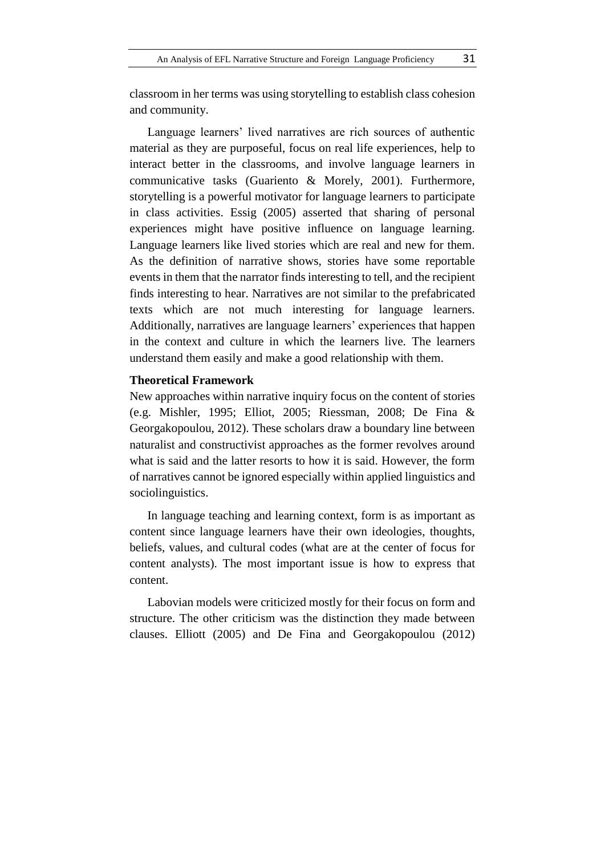classroom in her terms was using storytelling to establish class cohesion and community.

Language learners' lived narratives are rich sources of authentic material as they are purposeful, focus on real life experiences, help to interact better in the classrooms, and involve language learners in communicative tasks (Guariento & Morely, 2001). Furthermore, storytelling is a powerful motivator for language learners to participate in class activities. Essig (2005) asserted that sharing of personal experiences might have positive influence on language learning. Language learners like lived stories which are real and new for them. As the definition of narrative shows, stories have some reportable events in them that the narrator finds interesting to tell, and the recipient finds interesting to hear. Narratives are not similar to the prefabricated texts which are not much interesting for language learners. Additionally, narratives are language learners' experiences that happen in the context and culture in which the learners live. The learners understand them easily and make a good relationship with them.

## **Theoretical Framework**

New approaches within narrative inquiry focus on the content of stories (e.g. Mishler, 1995; Elliot, 2005; Riessman, 2008; De Fina & Georgakopoulou, 2012). These scholars draw a boundary line between naturalist and constructivist approaches as the former revolves around what is said and the latter resorts to how it is said. However, the form of narratives cannot be ignored especially within applied linguistics and sociolinguistics.

In language teaching and learning context, form is as important as content since language learners have their own ideologies, thoughts, beliefs, values, and cultural codes (what are at the center of focus for content analysts). The most important issue is how to express that content.

Labovian models were criticized mostly for their focus on form and structure. The other criticism was the distinction they made between clauses. Elliott (2005) and De Fina and Georgakopoulou (2012)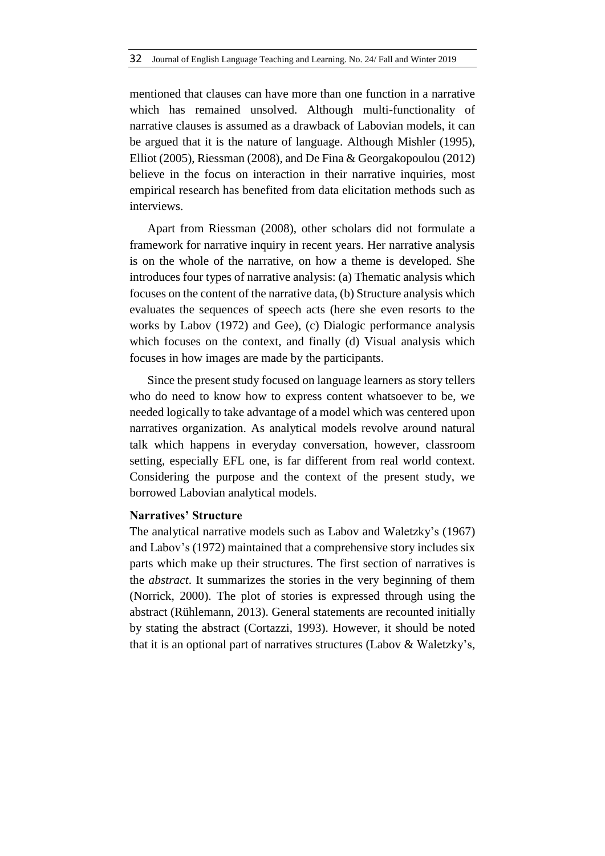mentioned that clauses can have more than one function in a narrative which has remained unsolved. Although multi-functionality of narrative clauses is assumed as a drawback of Labovian models, it can be argued that it is the nature of language. Although Mishler (1995), Elliot (2005), Riessman (2008), and De Fina & Georgakopoulou (2012) believe in the focus on interaction in their narrative inquiries, most empirical research has benefited from data elicitation methods such as interviews.

Apart from Riessman (2008), other scholars did not formulate a framework for narrative inquiry in recent years. Her narrative analysis is on the whole of the narrative, on how a theme is developed. She introduces four types of narrative analysis: (a) Thematic analysis which focuses on the content of the narrative data, (b) Structure analysis which evaluates the sequences of speech acts (here she even resorts to the works by Labov (1972) and Gee), (c) Dialogic performance analysis which focuses on the context, and finally (d) Visual analysis which focuses in how images are made by the participants.

Since the present study focused on language learners as story tellers who do need to know how to express content whatsoever to be, we needed logically to take advantage of a model which was centered upon narratives organization. As analytical models revolve around natural talk which happens in everyday conversation, however, classroom setting, especially EFL one, is far different from real world context. Considering the purpose and the context of the present study, we borrowed Labovian analytical models.

# **Narratives' Structure**

The analytical narrative models such as Labov and Waletzky's (1967) and Labov's (1972) maintained that a comprehensive story includes six parts which make up their structures. The first section of narratives is the *abstract*. It summarizes the stories in the very beginning of them (Norrick, 2000). The plot of stories is expressed through using the abstract (Rühlemann, 2013). General statements are recounted initially by stating the abstract (Cortazzi, 1993). However, it should be noted that it is an optional part of narratives structures (Labov & Waletzky's,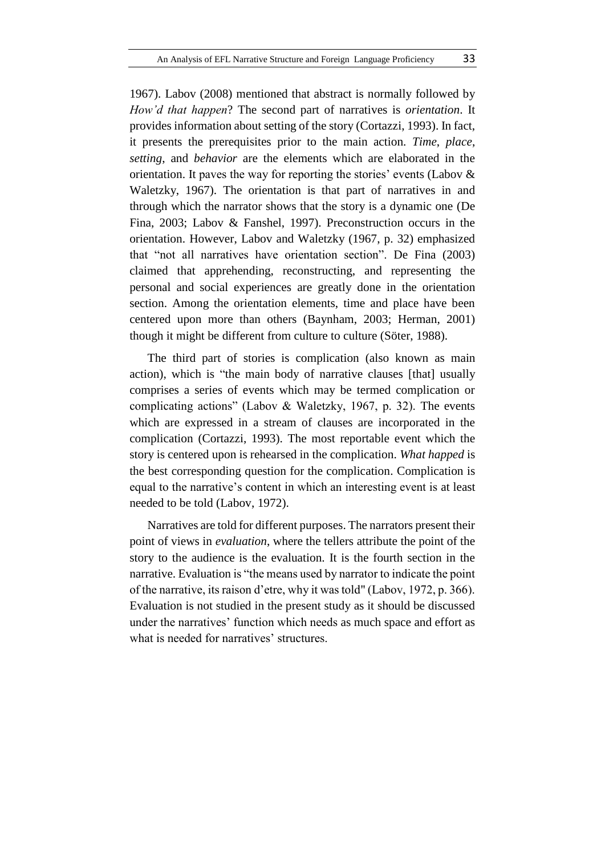1967). Labov (2008) mentioned that abstract is normally followed by *How'd that happen*? The second part of narratives is *orientation*. It provides information about setting of the story (Cortazzi, 1993). In fact, it presents the prerequisites prior to the main action. *Time*, *place*, *setting*, and *behavior* are the elements which are elaborated in the orientation. It paves the way for reporting the stories' events (Labov & Waletzky, 1967). The orientation is that part of narratives in and through which the narrator shows that the story is a dynamic one (De Fina, 2003; Labov & Fanshel, 1997). Preconstruction occurs in the orientation. However, Labov and Waletzky (1967, p. 32) emphasized that "not all narratives have orientation section". De Fina (2003) claimed that apprehending, reconstructing, and representing the personal and social experiences are greatly done in the orientation section. Among the orientation elements, time and place have been centered upon more than others (Baynham, 2003; Herman, 2001) though it might be different from culture to culture (Söter, 1988).

The third part of stories is complication (also known as main action), which is "the main body of narrative clauses [that] usually comprises a series of events which may be termed complication or complicating actions" (Labov & Waletzky, 1967, p. 32). The events which are expressed in a stream of clauses are incorporated in the complication (Cortazzi, 1993). The most reportable event which the story is centered upon is rehearsed in the complication. *What happed* is the best corresponding question for the complication. Complication is equal to the narrative's content in which an interesting event is at least needed to be told (Labov, 1972).

Narratives are told for different purposes. The narrators present their point of views in *evaluation*, where the tellers attribute the point of the story to the audience is the evaluation. It is the fourth section in the narrative. Evaluation is "the means used by narrator to indicate the point of the narrative, its raison d'etre, why it was told" (Labov, 1972, p. 366). Evaluation is not studied in the present study as it should be discussed under the narratives' function which needs as much space and effort as what is needed for narratives' structures.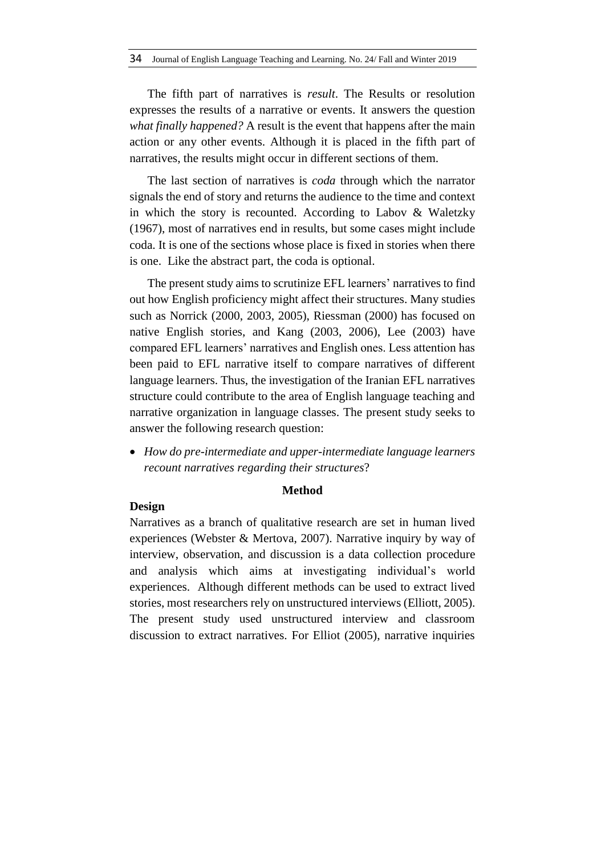The fifth part of narratives is *result*. The Results or resolution expresses the results of a narrative or events. It answers the question *what finally happened?* A result is the event that happens after the main action or any other events. Although it is placed in the fifth part of narratives, the results might occur in different sections of them.

The last section of narratives is *coda* through which the narrator signals the end of story and returns the audience to the time and context in which the story is recounted. According to Labov & Waletzky (1967), most of narratives end in results, but some cases might include coda. It is one of the sections whose place is fixed in stories when there is one. Like the abstract part, the coda is optional.

The present study aims to scrutinize EFL learners' narratives to find out how English proficiency might affect their structures. Many studies such as Norrick (2000, 2003, 2005), Riessman (2000) has focused on native English stories, and Kang (2003, 2006), Lee (2003) have compared EFL learners' narratives and English ones. Less attention has been paid to EFL narrative itself to compare narratives of different language learners. Thus, the investigation of the Iranian EFL narratives structure could contribute to the area of English language teaching and narrative organization in language classes. The present study seeks to answer the following research question:

 *How do pre-intermediate and upper-intermediate language learners recount narratives regarding their structures*?

### **Method**

# **Design**

Narratives as a branch of qualitative research are set in human lived experiences (Webster & Mertova, 2007). Narrative inquiry by way of interview, observation, and discussion is a data collection procedure and analysis which aims at investigating individual's world experiences. Although different methods can be used to extract lived stories, most researchers rely on unstructured interviews (Elliott, 2005). The present study used unstructured interview and classroom discussion to extract narratives. For Elliot (2005), narrative inquiries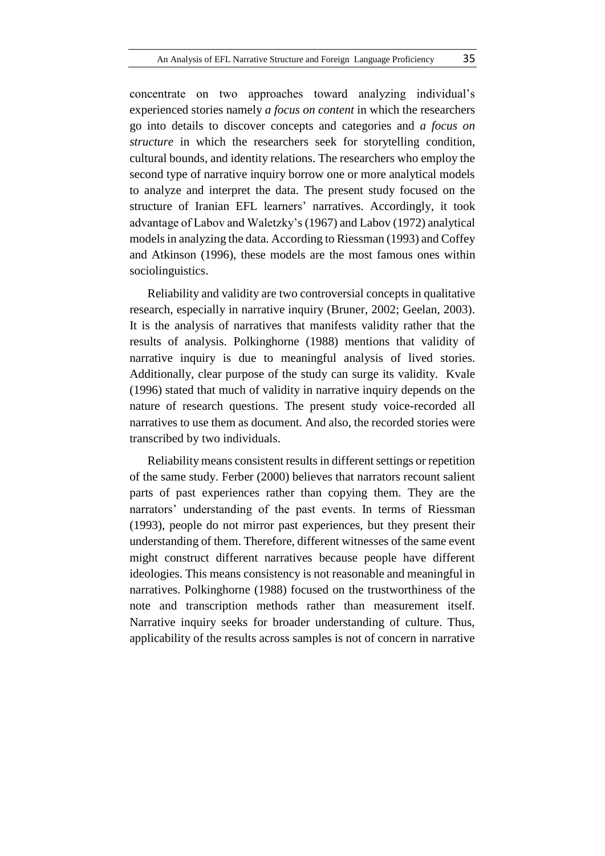concentrate on two approaches toward analyzing individual's experienced stories namely *a focus on content* in which the researchers go into details to discover concepts and categories and *a focus on structure* in which the researchers seek for storytelling condition, cultural bounds, and identity relations. The researchers who employ the second type of narrative inquiry borrow one or more analytical models to analyze and interpret the data. The present study focused on the structure of Iranian EFL learners' narratives. Accordingly, it took advantage of Labov and Waletzky's(1967) and Labov (1972) analytical modelsin analyzing the data. According to Riessman (1993) and Coffey and Atkinson (1996), these models are the most famous ones within sociolinguistics.

Reliability and validity are two controversial concepts in qualitative research, especially in narrative inquiry (Bruner, 2002; Geelan, 2003). It is the analysis of narratives that manifests validity rather that the results of analysis. Polkinghorne (1988) mentions that validity of narrative inquiry is due to meaningful analysis of lived stories. Additionally, clear purpose of the study can surge its validity. Kvale (1996) stated that much of validity in narrative inquiry depends on the nature of research questions. The present study voice-recorded all narratives to use them as document. And also, the recorded stories were transcribed by two individuals.

Reliability means consistent results in different settings or repetition of the same study. Ferber (2000) believes that narrators recount salient parts of past experiences rather than copying them. They are the narrators' understanding of the past events. In terms of Riessman (1993), people do not mirror past experiences, but they present their understanding of them. Therefore, different witnesses of the same event might construct different narratives because people have different ideologies. This means consistency is not reasonable and meaningful in narratives. Polkinghorne (1988) focused on the trustworthiness of the note and transcription methods rather than measurement itself. Narrative inquiry seeks for broader understanding of culture. Thus, applicability of the results across samples is not of concern in narrative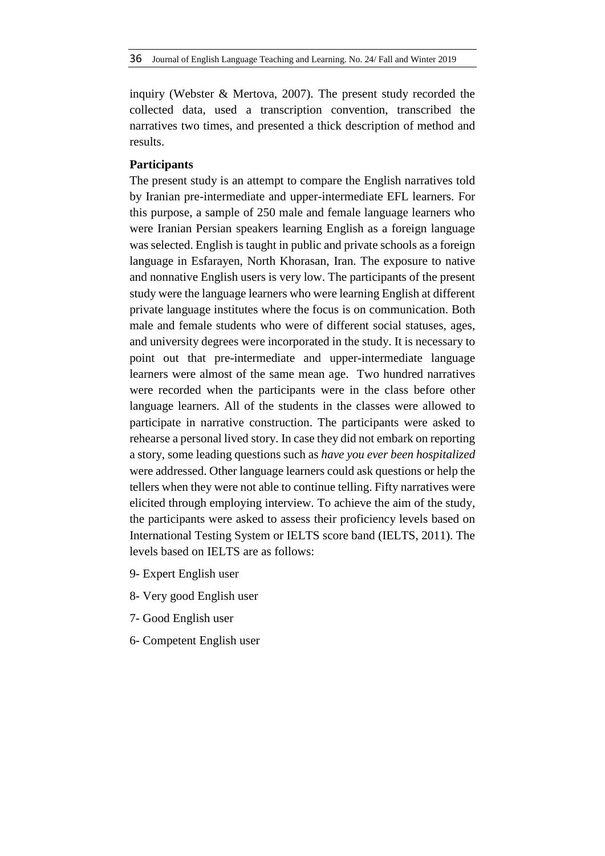inquiry (Webster & Mertova, 2007). The present study recorded the collected data, used a transcription convention, transcribed the narratives two times, and presented a thick description of method and results.

## **Participants**

The present study is an attempt to compare the English narratives told by Iranian pre-intermediate and upper-intermediate EFL learners. For this purpose, a sample of 250 male and female language learners who were Iranian Persian speakers learning English as a foreign language was selected. English is taught in public and private schools as a foreign language in Esfarayen, North Khorasan, Iran. The exposure to native and nonnative English users is very low. The participants of the present study were the language learners who were learning English at different private language institutes where the focus is on communication. Both male and female students who were of different social statuses, ages, and university degrees were incorporated in the study. It is necessary to point out that pre-intermediate and upper-intermediate language learners were almost of the same mean age. Two hundred narratives were recorded when the participants were in the class before other language learners. All of the students in the classes were allowed to participate in narrative construction. The participants were asked to rehearse a personal lived story. In case they did not embark on reporting a story, some leading questions such as *have you ever been hospitalized* were addressed. Other language learners could ask questions or help the tellers when they were not able to continue telling. Fifty narratives were elicited through employing interview. To achieve the aim of the study, the participants were asked to assess their proficiency levels based on International Testing System or IELTS score band (IELTS, 2011). The levels based on IELTS are as follows:

- 9- Expert English user
- 8- Very good English user
- 7- Good English user
- 6- Competent English user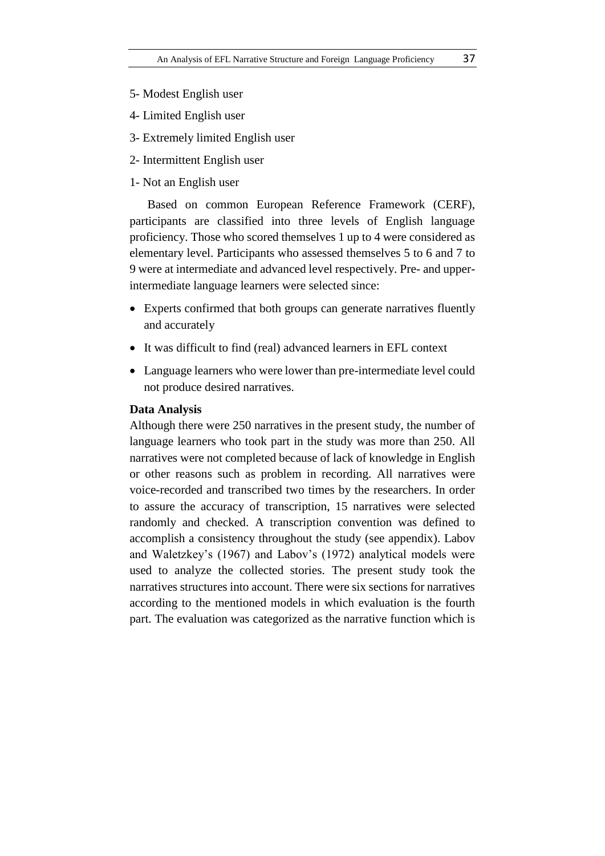- 5- Modest English user
- 4- Limited English user
- 3- Extremely limited English user
- 2- Intermittent English user
- 1- Not an English user

Based on common European Reference Framework (CERF), participants are classified into three levels of English language proficiency. Those who scored themselves 1 up to 4 were considered as elementary level. Participants who assessed themselves 5 to 6 and 7 to 9 were at intermediate and advanced level respectively. Pre- and upperintermediate language learners were selected since:

- Experts confirmed that both groups can generate narratives fluently and accurately
- It was difficult to find (real) advanced learners in EFL context
- Language learners who were lower than pre-intermediate level could not produce desired narratives.

#### **Data Analysis**

Although there were 250 narratives in the present study, the number of language learners who took part in the study was more than 250. All narratives were not completed because of lack of knowledge in English or other reasons such as problem in recording. All narratives were voice-recorded and transcribed two times by the researchers. In order to assure the accuracy of transcription, 15 narratives were selected randomly and checked. A transcription convention was defined to accomplish a consistency throughout the study (see appendix). Labov and Waletzkey's (1967) and Labov's (1972) analytical models were used to analyze the collected stories. The present study took the narratives structures into account. There were six sections for narratives according to the mentioned models in which evaluation is the fourth part. The evaluation was categorized as the narrative function which is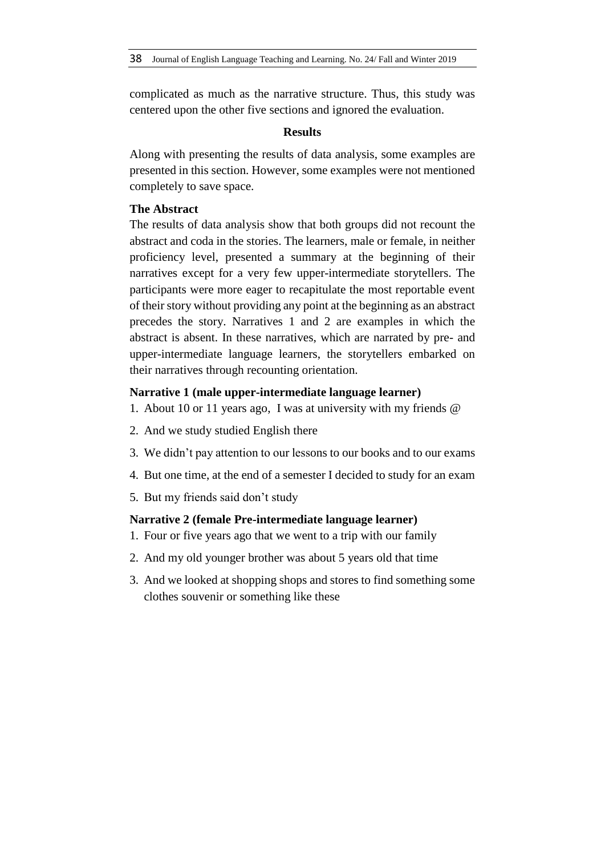complicated as much as the narrative structure. Thus, this study was centered upon the other five sections and ignored the evaluation.

# **Results**

Along with presenting the results of data analysis, some examples are presented in this section. However, some examples were not mentioned completely to save space.

# **The Abstract**

The results of data analysis show that both groups did not recount the abstract and coda in the stories. The learners, male or female, in neither proficiency level, presented a summary at the beginning of their narratives except for a very few upper-intermediate storytellers. The participants were more eager to recapitulate the most reportable event of their story without providing any point at the beginning as an abstract precedes the story. Narratives 1 and 2 are examples in which the abstract is absent. In these narratives, which are narrated by pre- and upper-intermediate language learners, the storytellers embarked on their narratives through recounting orientation.

### **Narrative 1 (male upper-intermediate language learner)**

- 1. About 10 or 11 years ago, I was at university with my friends @
- 2. And we study studied English there
- 3. We didn't pay attention to our lessons to our books and to our exams
- 4. But one time, at the end of a semester I decided to study for an exam
- 5. But my friends said don't study

# **Narrative 2 (female Pre-intermediate language learner)**

- 1. Four or five years ago that we went to a trip with our family
- 2. And my old younger brother was about 5 years old that time
- 3. And we looked at shopping shops and stores to find something some clothes souvenir or something like these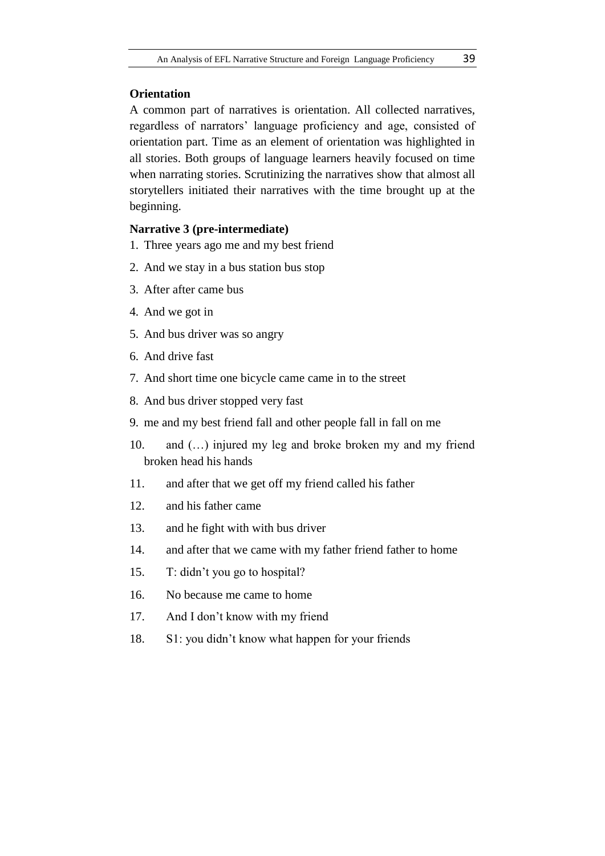# **Orientation**

A common part of narratives is orientation. All collected narratives, regardless of narrators' language proficiency and age, consisted of orientation part. Time as an element of orientation was highlighted in all stories. Both groups of language learners heavily focused on time when narrating stories. Scrutinizing the narratives show that almost all storytellers initiated their narratives with the time brought up at the beginning.

# **Narrative 3 (pre-intermediate)**

- 1. Three years ago me and my best friend
- 2. And we stay in a bus station bus stop
- 3. After after came bus
- 4. And we got in
- 5. And bus driver was so angry
- 6. And drive fast
- 7. And short time one bicycle came came in to the street
- 8. And bus driver stopped very fast
- 9. me and my best friend fall and other people fall in fall on me
- 10. and (…) injured my leg and broke broken my and my friend broken head his hands
- 11. and after that we get off my friend called his father
- 12. and his father came
- 13. and he fight with with bus driver
- 14. and after that we came with my father friend father to home
- 15. T: didn't you go to hospital?
- 16. No because me came to home
- 17. And I don't know with my friend
- 18. S1: you didn't know what happen for your friends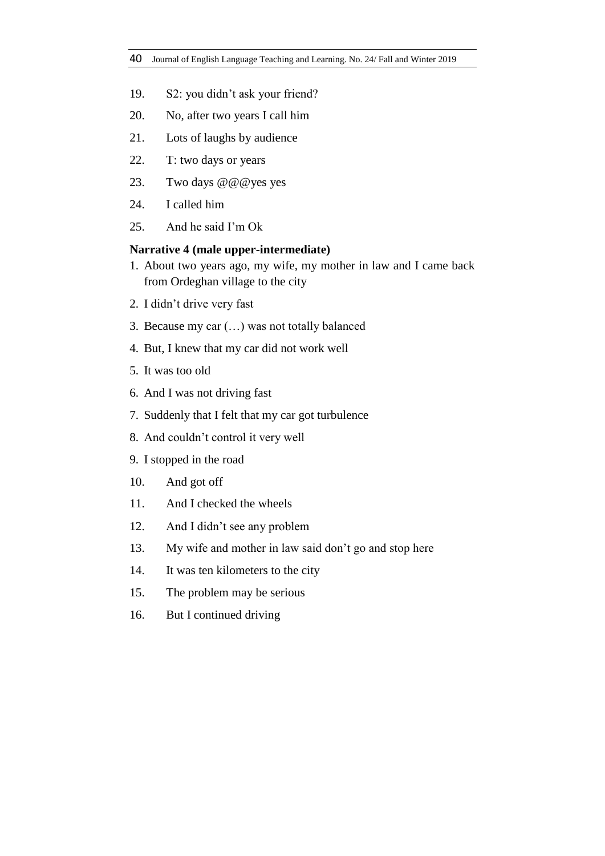- 19. S2: you didn't ask your friend?
- 20. No, after two years I call him
- 21. Lots of laughs by audience
- 22. T: two days or years
- 23. Two days @@@yes yes
- 24. I called him
- 25. And he said I'm Ok

### **Narrative 4 (male upper-intermediate)**

- 1. About two years ago, my wife, my mother in law and I came back from Ordeghan village to the city
- 2. I didn't drive very fast
- 3. Because my car (…) was not totally balanced
- 4. But, I knew that my car did not work well
- 5. It was too old
- 6. And I was not driving fast
- 7. Suddenly that I felt that my car got turbulence
- 8. And couldn't control it very well
- 9. I stopped in the road
- 10. And got off
- 11. And I checked the wheels
- 12. And I didn't see any problem
- 13. My wife and mother in law said don't go and stop here
- 14. It was ten kilometers to the city
- 15. The problem may be serious
- 16. But I continued driving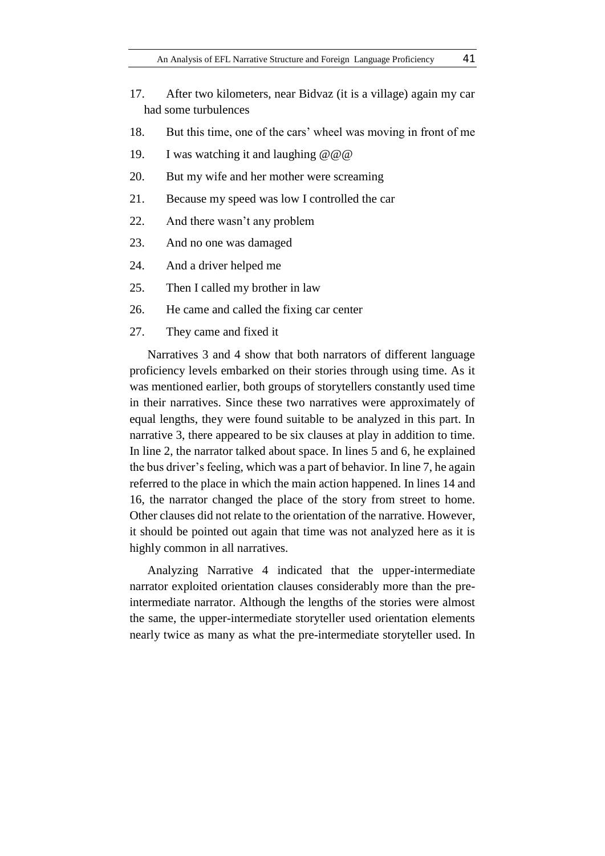- 17. After two kilometers, near Bidvaz (it is a village) again my car had some turbulences
- 18. But this time, one of the cars' wheel was moving in front of me
- 19. I was watching it and laughing @@@
- 20. But my wife and her mother were screaming
- 21. Because my speed was low I controlled the car
- 22. And there wasn't any problem
- 23. And no one was damaged
- 24. And a driver helped me
- 25. Then I called my brother in law
- 26. He came and called the fixing car center
- 27. They came and fixed it

Narratives 3 and 4 show that both narrators of different language proficiency levels embarked on their stories through using time. As it was mentioned earlier, both groups of storytellers constantly used time in their narratives. Since these two narratives were approximately of equal lengths, they were found suitable to be analyzed in this part. In narrative 3, there appeared to be six clauses at play in addition to time. In line 2, the narrator talked about space. In lines 5 and 6, he explained the bus driver's feeling, which was a part of behavior. In line 7, he again referred to the place in which the main action happened. In lines 14 and 16, the narrator changed the place of the story from street to home. Other clauses did not relate to the orientation of the narrative. However, it should be pointed out again that time was not analyzed here as it is highly common in all narratives.

Analyzing Narrative 4 indicated that the upper-intermediate narrator exploited orientation clauses considerably more than the preintermediate narrator. Although the lengths of the stories were almost the same, the upper-intermediate storyteller used orientation elements nearly twice as many as what the pre-intermediate storyteller used. In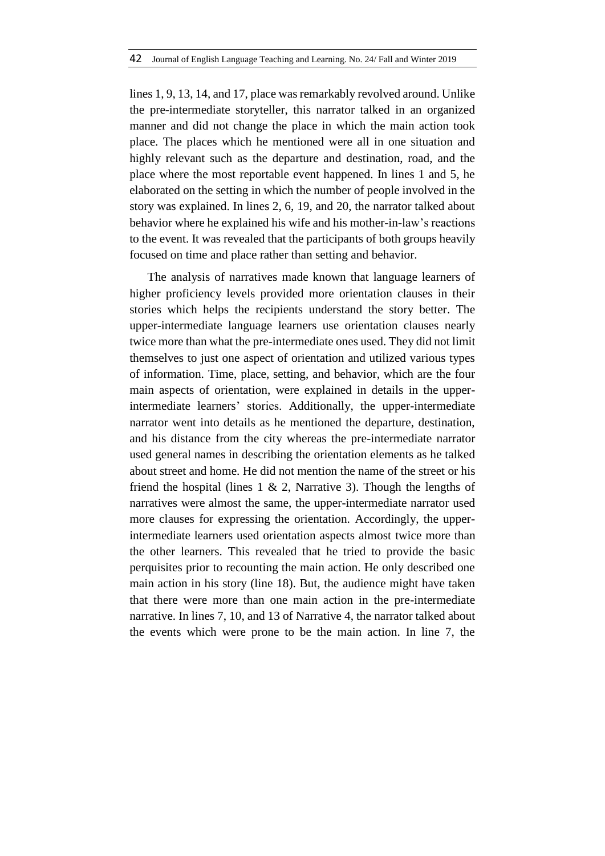lines 1, 9, 13, 14, and 17, place was remarkably revolved around. Unlike the pre-intermediate storyteller, this narrator talked in an organized manner and did not change the place in which the main action took place. The places which he mentioned were all in one situation and highly relevant such as the departure and destination, road, and the place where the most reportable event happened. In lines 1 and 5, he elaborated on the setting in which the number of people involved in the story was explained. In lines 2, 6, 19, and 20, the narrator talked about behavior where he explained his wife and his mother-in-law's reactions to the event. It was revealed that the participants of both groups heavily focused on time and place rather than setting and behavior.

The analysis of narratives made known that language learners of higher proficiency levels provided more orientation clauses in their stories which helps the recipients understand the story better. The upper-intermediate language learners use orientation clauses nearly twice more than what the pre-intermediate ones used. They did not limit themselves to just one aspect of orientation and utilized various types of information. Time, place, setting, and behavior, which are the four main aspects of orientation, were explained in details in the upperintermediate learners' stories. Additionally, the upper-intermediate narrator went into details as he mentioned the departure, destination, and his distance from the city whereas the pre-intermediate narrator used general names in describing the orientation elements as he talked about street and home. He did not mention the name of the street or his friend the hospital (lines  $1 \& 2$ , Narrative 3). Though the lengths of narratives were almost the same, the upper-intermediate narrator used more clauses for expressing the orientation. Accordingly, the upperintermediate learners used orientation aspects almost twice more than the other learners. This revealed that he tried to provide the basic perquisites prior to recounting the main action. He only described one main action in his story (line 18). But, the audience might have taken that there were more than one main action in the pre-intermediate narrative. In lines 7, 10, and 13 of Narrative 4, the narrator talked about the events which were prone to be the main action. In line 7, the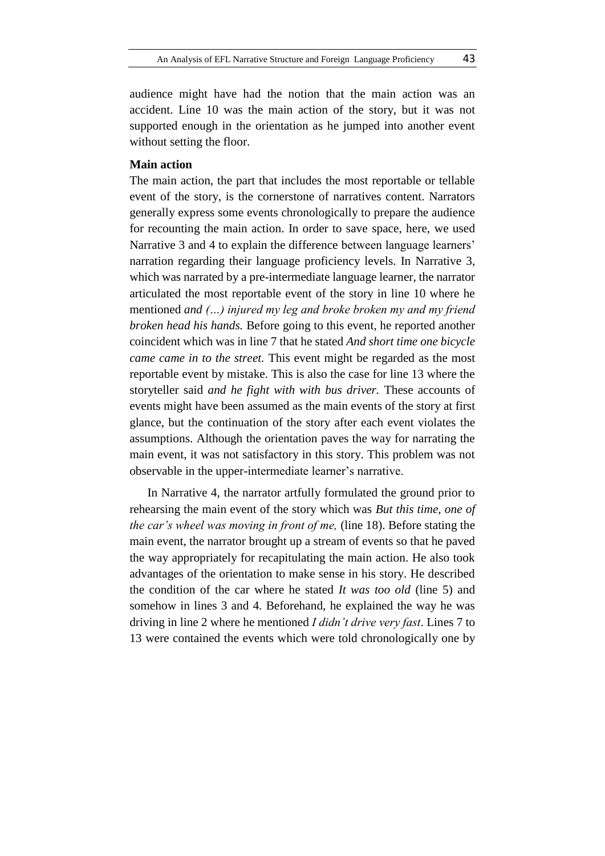audience might have had the notion that the main action was an accident. Line 10 was the main action of the story, but it was not supported enough in the orientation as he jumped into another event without setting the floor.

# **Main action**

The main action, the part that includes the most reportable or tellable event of the story, is the cornerstone of narratives content. Narrators generally express some events chronologically to prepare the audience for recounting the main action. In order to save space, here, we used Narrative 3 and 4 to explain the difference between language learners' narration regarding their language proficiency levels. In Narrative 3, which was narrated by a pre-intermediate language learner, the narrator articulated the most reportable event of the story in line 10 where he mentioned *and (…) injured my leg and broke broken my and my friend broken head his hands.* Before going to this event, he reported another coincident which was in line 7 that he stated *And short time one bicycle came came in to the street.* This event might be regarded as the most reportable event by mistake. This is also the case for line 13 where the storyteller said *and he fight with with bus driver.* These accounts of events might have been assumed as the main events of the story at first glance, but the continuation of the story after each event violates the assumptions. Although the orientation paves the way for narrating the main event, it was not satisfactory in this story. This problem was not observable in the upper-intermediate learner's narrative.

In Narrative 4, the narrator artfully formulated the ground prior to rehearsing the main event of the story which was *But this time, one of the car's wheel was moving in front of me,* (line 18). Before stating the main event, the narrator brought up a stream of events so that he paved the way appropriately for recapitulating the main action. He also took advantages of the orientation to make sense in his story. He described the condition of the car where he stated *It was too old* (line 5) and somehow in lines 3 and 4. Beforehand, he explained the way he was driving in line 2 where he mentioned *I didn't drive very fast*. Lines 7 to 13 were contained the events which were told chronologically one by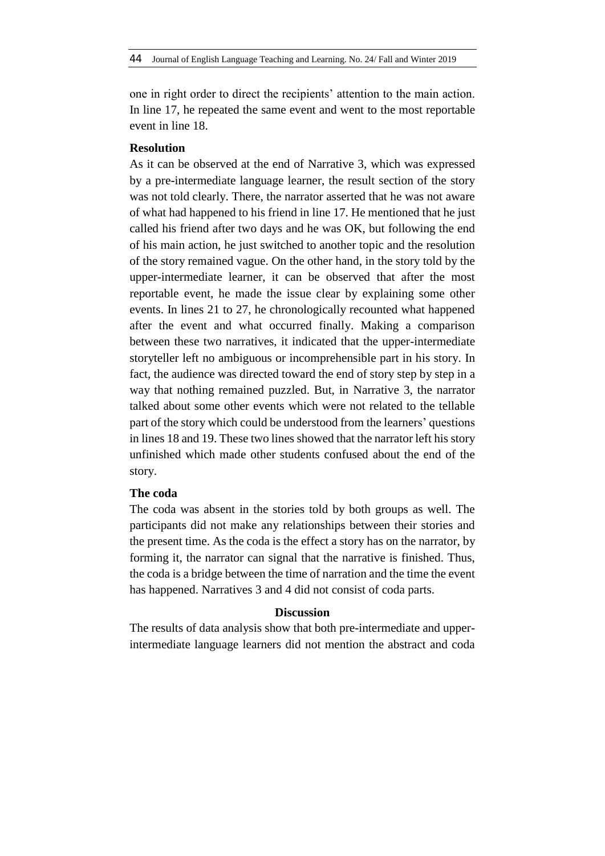one in right order to direct the recipients' attention to the main action. In line 17, he repeated the same event and went to the most reportable event in line 18.

# **Resolution**

As it can be observed at the end of Narrative 3, which was expressed by a pre-intermediate language learner, the result section of the story was not told clearly. There, the narrator asserted that he was not aware of what had happened to his friend in line 17. He mentioned that he just called his friend after two days and he was OK, but following the end of his main action, he just switched to another topic and the resolution of the story remained vague. On the other hand, in the story told by the upper-intermediate learner, it can be observed that after the most reportable event, he made the issue clear by explaining some other events. In lines 21 to 27, he chronologically recounted what happened after the event and what occurred finally. Making a comparison between these two narratives, it indicated that the upper-intermediate storyteller left no ambiguous or incomprehensible part in his story. In fact, the audience was directed toward the end of story step by step in a way that nothing remained puzzled. But, in Narrative 3, the narrator talked about some other events which were not related to the tellable part of the story which could be understood from the learners' questions in lines 18 and 19. These two lines showed that the narrator left his story unfinished which made other students confused about the end of the story.

#### **The coda**

The coda was absent in the stories told by both groups as well. The participants did not make any relationships between their stories and the present time. As the coda is the effect a story has on the narrator, by forming it, the narrator can signal that the narrative is finished. Thus, the coda is a bridge between the time of narration and the time the event has happened. Narratives 3 and 4 did not consist of coda parts.

#### **Discussion**

The results of data analysis show that both pre-intermediate and upperintermediate language learners did not mention the abstract and coda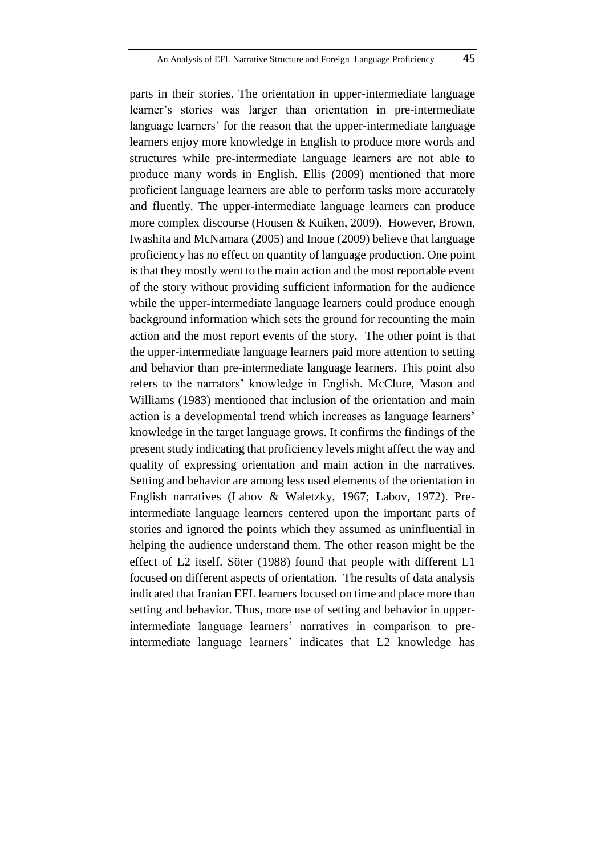parts in their stories. The orientation in upper-intermediate language learner's stories was larger than orientation in pre-intermediate language learners' for the reason that the upper-intermediate language learners enjoy more knowledge in English to produce more words and structures while pre-intermediate language learners are not able to produce many words in English. Ellis (2009) mentioned that more proficient language learners are able to perform tasks more accurately and fluently. The upper-intermediate language learners can produce more complex discourse (Housen & Kuiken, 2009). However, Brown, Iwashita and McNamara (2005) and Inoue (2009) believe that language proficiency has no effect on quantity of language production. One point is that they mostly went to the main action and the most reportable event of the story without providing sufficient information for the audience while the upper-intermediate language learners could produce enough background information which sets the ground for recounting the main action and the most report events of the story. The other point is that the upper-intermediate language learners paid more attention to setting and behavior than pre-intermediate language learners. This point also refers to the narrators' knowledge in English. McClure, Mason and Williams (1983) mentioned that inclusion of the orientation and main action is a developmental trend which increases as language learners' knowledge in the target language grows. It confirms the findings of the present study indicating that proficiency levels might affect the way and quality of expressing orientation and main action in the narratives. Setting and behavior are among less used elements of the orientation in English narratives (Labov & Waletzky, 1967; Labov, 1972). Preintermediate language learners centered upon the important parts of stories and ignored the points which they assumed as uninfluential in helping the audience understand them. The other reason might be the effect of L2 itself. Söter (1988) found that people with different L1 focused on different aspects of orientation. The results of data analysis indicated that Iranian EFL learners focused on time and place more than setting and behavior. Thus, more use of setting and behavior in upperintermediate language learners' narratives in comparison to preintermediate language learners' indicates that L2 knowledge has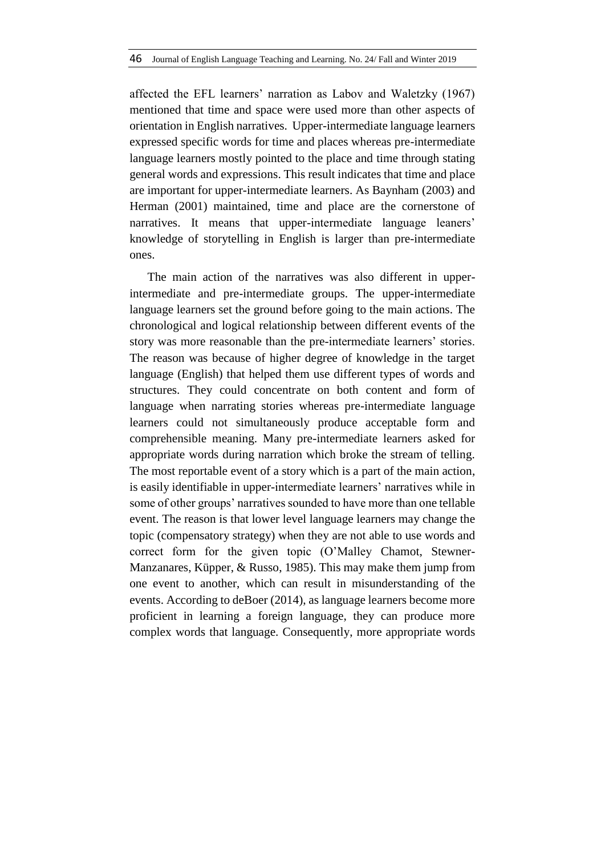affected the EFL learners' narration as Labov and Waletzky (1967) mentioned that time and space were used more than other aspects of orientation in English narratives. Upper-intermediate language learners expressed specific words for time and places whereas pre-intermediate language learners mostly pointed to the place and time through stating general words and expressions. This result indicates that time and place are important for upper-intermediate learners. As Baynham (2003) and Herman (2001) maintained, time and place are the cornerstone of narratives. It means that upper-intermediate language leaners' knowledge of storytelling in English is larger than pre-intermediate ones.

The main action of the narratives was also different in upperintermediate and pre-intermediate groups. The upper-intermediate language learners set the ground before going to the main actions. The chronological and logical relationship between different events of the story was more reasonable than the pre-intermediate learners' stories. The reason was because of higher degree of knowledge in the target language (English) that helped them use different types of words and structures. They could concentrate on both content and form of language when narrating stories whereas pre-intermediate language learners could not simultaneously produce acceptable form and comprehensible meaning. Many pre-intermediate learners asked for appropriate words during narration which broke the stream of telling. The most reportable event of a story which is a part of the main action, is easily identifiable in upper-intermediate learners' narratives while in some of other groups' narratives sounded to have more than one tellable event. The reason is that lower level language learners may change the topic (compensatory strategy) when they are not able to use words and correct form for the given topic (O'Malley Chamot, Stewner-Manzanares, Küpper, & Russo, 1985). This may make them jump from one event to another, which can result in misunderstanding of the events. According to deBoer (2014), as language learners become more proficient in learning a foreign language, they can produce more complex words that language. Consequently, more appropriate words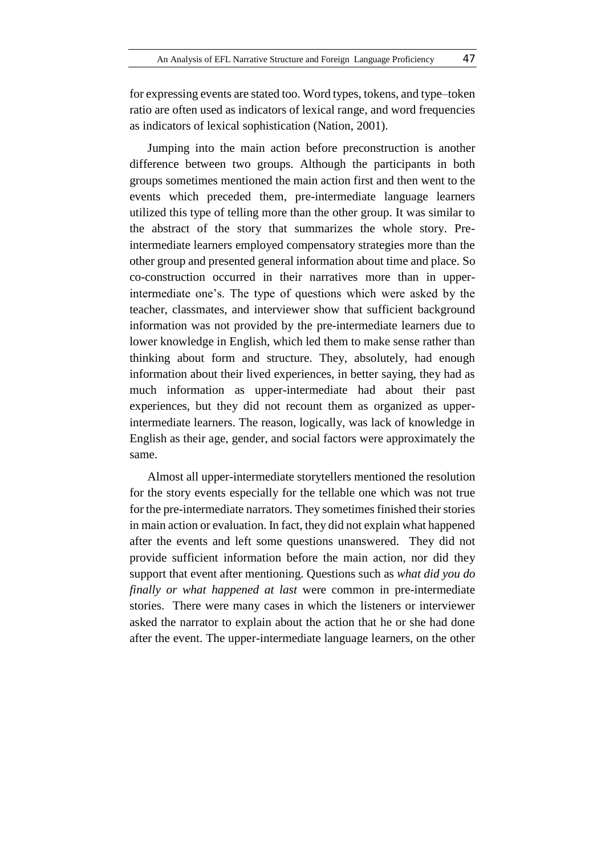for expressing events are stated too. Word types, tokens, and type–token ratio are often used as indicators of lexical range, and word frequencies as indicators of lexical sophistication (Nation, 2001).

Jumping into the main action before preconstruction is another difference between two groups. Although the participants in both groups sometimes mentioned the main action first and then went to the events which preceded them, pre-intermediate language learners utilized this type of telling more than the other group. It was similar to the abstract of the story that summarizes the whole story. Preintermediate learners employed compensatory strategies more than the other group and presented general information about time and place. So co-construction occurred in their narratives more than in upperintermediate one's. The type of questions which were asked by the teacher, classmates, and interviewer show that sufficient background information was not provided by the pre-intermediate learners due to lower knowledge in English, which led them to make sense rather than thinking about form and structure. They, absolutely, had enough information about their lived experiences, in better saying, they had as much information as upper-intermediate had about their past experiences, but they did not recount them as organized as upperintermediate learners. The reason, logically, was lack of knowledge in English as their age, gender, and social factors were approximately the same.

Almost all upper-intermediate storytellers mentioned the resolution for the story events especially for the tellable one which was not true for the pre-intermediate narrators. They sometimes finished their stories in main action or evaluation. In fact, they did not explain what happened after the events and left some questions unanswered. They did not provide sufficient information before the main action, nor did they support that event after mentioning. Questions such as *what did you do finally or what happened at last* were common in pre-intermediate stories. There were many cases in which the listeners or interviewer asked the narrator to explain about the action that he or she had done after the event. The upper-intermediate language learners, on the other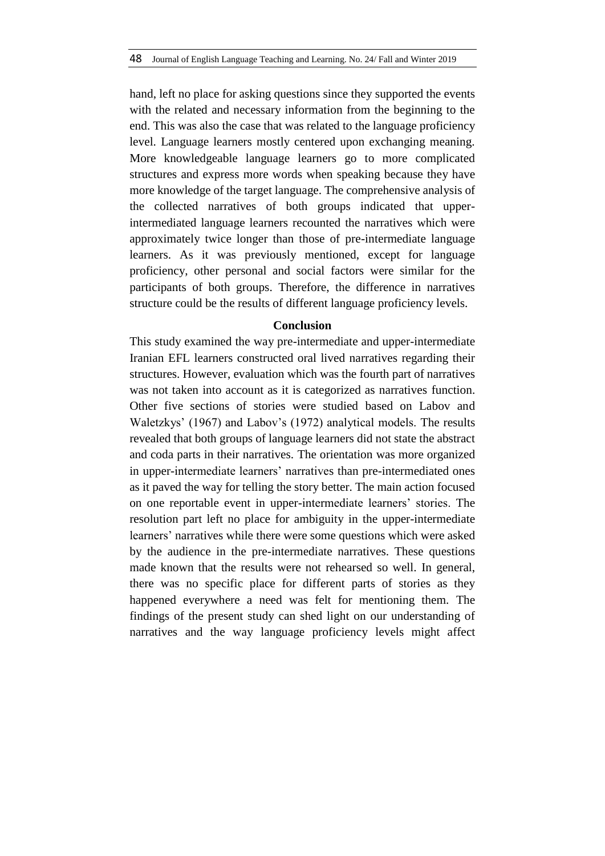hand, left no place for asking questions since they supported the events with the related and necessary information from the beginning to the end. This was also the case that was related to the language proficiency level. Language learners mostly centered upon exchanging meaning. More knowledgeable language learners go to more complicated structures and express more words when speaking because they have more knowledge of the target language. The comprehensive analysis of the collected narratives of both groups indicated that upperintermediated language learners recounted the narratives which were approximately twice longer than those of pre-intermediate language learners. As it was previously mentioned, except for language proficiency, other personal and social factors were similar for the participants of both groups. Therefore, the difference in narratives structure could be the results of different language proficiency levels.

# **Conclusion**

This study examined the way pre-intermediate and upper-intermediate Iranian EFL learners constructed oral lived narratives regarding their structures. However, evaluation which was the fourth part of narratives was not taken into account as it is categorized as narratives function. Other five sections of stories were studied based on Labov and Waletzkys' (1967) and Labov's (1972) analytical models. The results revealed that both groups of language learners did not state the abstract and coda parts in their narratives. The orientation was more organized in upper-intermediate learners' narratives than pre-intermediated ones as it paved the way for telling the story better. The main action focused on one reportable event in upper-intermediate learners' stories. The resolution part left no place for ambiguity in the upper-intermediate learners' narratives while there were some questions which were asked by the audience in the pre-intermediate narratives. These questions made known that the results were not rehearsed so well. In general, there was no specific place for different parts of stories as they happened everywhere a need was felt for mentioning them. The findings of the present study can shed light on our understanding of narratives and the way language proficiency levels might affect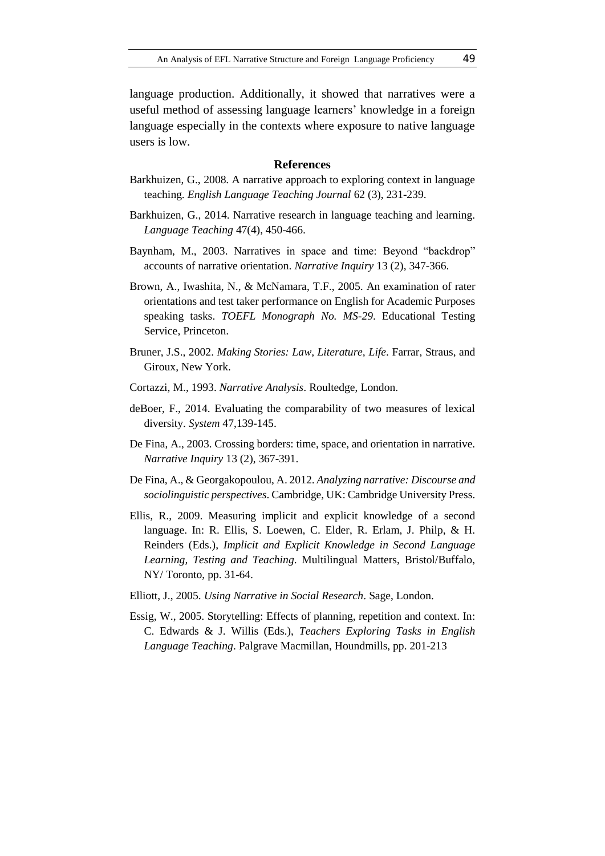language production. Additionally, it showed that narratives were a useful method of assessing language learners' knowledge in a foreign language especially in the contexts where exposure to native language users is low.

#### **References**

- Barkhuizen, G., 2008. A narrative approach to exploring context in language teaching. *English Language Teaching Journal* 62 (3), 231-239.
- Barkhuizen, G., 2014. Narrative research in language teaching and learning. *Language Teaching* 47(4), 450-466.
- Baynham, M., 2003. Narratives in space and time: Beyond "backdrop" accounts of narrative orientation. *Narrative Inquiry* 13 (2), 347-366.
- Brown, A., Iwashita, N., & McNamara, T.F., 2005. An examination of rater orientations and test taker performance on English for Academic Purposes speaking tasks. *TOEFL Monograph No. MS-29*. Educational Testing Service, Princeton.
- Bruner, J.S., 2002. *Making Stories: Law, Literature, Life*. Farrar, Straus, and Giroux, New York.
- Cortazzi, M., 1993. *Narrative Analysis*. Roultedge, London.
- deBoer, F., 2014. Evaluating the comparability of two measures of lexical diversity. *System* 47,139-145.
- De Fina, A., 2003. Crossing borders: time, space, and orientation in narrative. *Narrative Inquiry* 13 (2), 367-391.
- De Fina, A., & Georgakopoulou, A. 2012. *Analyzing narrative: Discourse and sociolinguistic perspectives*. Cambridge, UK: Cambridge University Press.
- Ellis, R., 2009. Measuring implicit and explicit knowledge of a second language. In: R. Ellis, S. Loewen, C. Elder, R. Erlam, J. Philp, & H. Reinders (Eds.), *Implicit and Explicit Knowledge in Second Language Learning, Testing and Teaching*. Multilingual Matters, Bristol/Buffalo, NY/ Toronto, pp. 31-64.
- Elliott, J., 2005. *Using Narrative in Social Research*. Sage, London.
- Essig, W., 2005. Storytelling: Effects of planning, repetition and context. In: C. Edwards & J. Willis (Eds.), *Teachers Exploring Tasks in English Language Teaching*. Palgrave Macmillan, Houndmills, pp. 201-213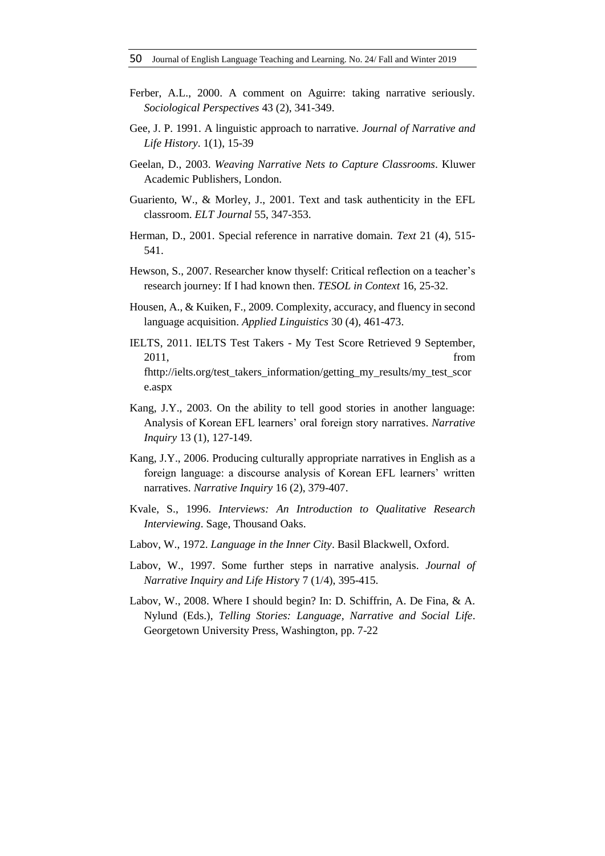- Ferber, A.L., 2000. A comment on Aguirre: taking narrative seriously. *Sociological Perspectives* 43 (2), 341-349.
- Gee, J. P. 1991. A linguistic approach to narrative. *Journal of Narrative and Life History*. 1(1), 15-39
- Geelan, D., 2003. *Weaving Narrative Nets to Capture Classrooms*. Kluwer Academic Publishers, London.
- Guariento, W., & Morley, J., 2001. Text and task authenticity in the EFL classroom. *ELT Journal* 55, 347-353.
- Herman, D., 2001. Special reference in narrative domain. *Text* 21 (4), 515- 541.
- Hewson, S., 2007. Researcher know thyself: Critical reflection on a teacher's research journey: If I had known then. *TESOL in Context* 16, 25-32.
- Housen, A., & Kuiken, F., 2009. Complexity, accuracy, and fluency in second language acquisition. *Applied Linguistics* 30 (4), 461-473.
- IELTS, 2011. IELTS Test Takers My Test Score Retrieved 9 September, 2011, from fhttp://ielts.org/test\_takers\_information/getting\_my\_results/my\_test\_scor e.aspx
- Kang, J.Y., 2003. On the ability to tell good stories in another language: Analysis of Korean EFL learners' oral foreign story narratives. *Narrative Inquiry* 13 (1), 127-149.
- Kang, J.Y., 2006. Producing culturally appropriate narratives in English as a foreign language: a discourse analysis of Korean EFL learners' written narratives. *Narrative Inquiry* 16 (2), 379-407.
- Kvale, S., 1996. *Interviews: An Introduction to Qualitative Research Interviewing*. Sage, Thousand Oaks.
- Labov, W., 1972. *Language in the Inner City*. Basil Blackwell, Oxford.
- Labov, W., 1997. Some further steps in narrative analysis. *Journal of Narrative Inquiry and Life Histor*y 7 (1/4), 395-415.
- Labov, W., 2008. Where I should begin? In: D. Schiffrin, A. De Fina, & A. Nylund (Eds.), *Telling Stories: Language, Narrative and Social Life*. Georgetown University Press, Washington, pp. 7-22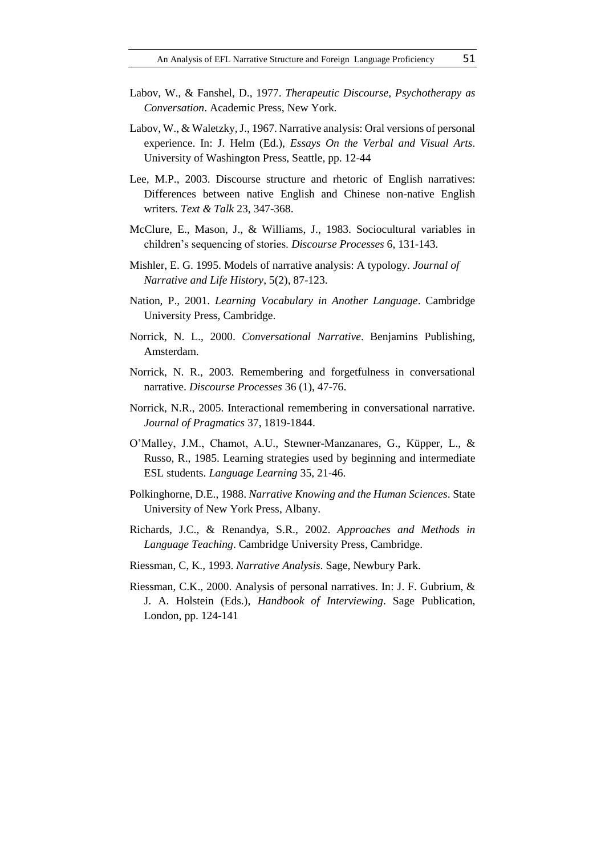- Labov, W., & Fanshel, D., 1977. *Therapeutic Discourse, Psychotherapy as Conversation*. Academic Press, New York.
- Labov, W., & Waletzky, J., 1967. Narrative analysis: Oral versions of personal experience. In: J. Helm (Ed.), *Essays On the Verbal and Visual Arts*. University of Washington Press, Seattle, pp. 12-44
- Lee, M.P., 2003. Discourse structure and rhetoric of English narratives: Differences between native English and Chinese non-native English writers. *Text & Talk* 23, 347-368.
- McClure, E., Mason, J., & Williams, J., 1983. Sociocultural variables in children's sequencing of stories. *Discourse Processes* 6, 131-143.
- Mishler, E. G. 1995. Models of narrative analysis: A typology. *Journal of Narrative and Life History*, 5(2), 87-123.
- Nation, P., 2001. *Learning Vocabulary in Another Language*. Cambridge University Press, Cambridge.
- Norrick, N. L., 2000. *Conversational Narrative*. Benjamins Publishing, Amsterdam.
- Norrick, N. R., 2003. Remembering and forgetfulness in conversational narrative. *Discourse Processes* 36 (1), 47-76.
- Norrick, N.R., 2005. Interactional remembering in conversational narrative. *Journal of Pragmatics* 37, 1819-1844.
- O'Malley, J.M., Chamot, A.U., Stewner-Manzanares, G., Küpper, L., & Russo, R., 1985. Learning strategies used by beginning and intermediate ESL students. *Language Learning* 35, 21-46.
- Polkinghorne, D.E., 1988. *Narrative Knowing and the Human Sciences*. State University of New York Press, Albany.
- Richards, J.C., & Renandya, S.R., 2002. *Approaches and Methods in Language Teaching*. Cambridge University Press, Cambridge.
- Riessman, C, K., 1993. *Narrative Analysis*. Sage, Newbury Park.
- Riessman, C.K., 2000. Analysis of personal narratives. In: J. F. Gubrium, & J. A. Holstein (Eds.), *Handbook of Interviewing*. Sage Publication, London, pp. 124-141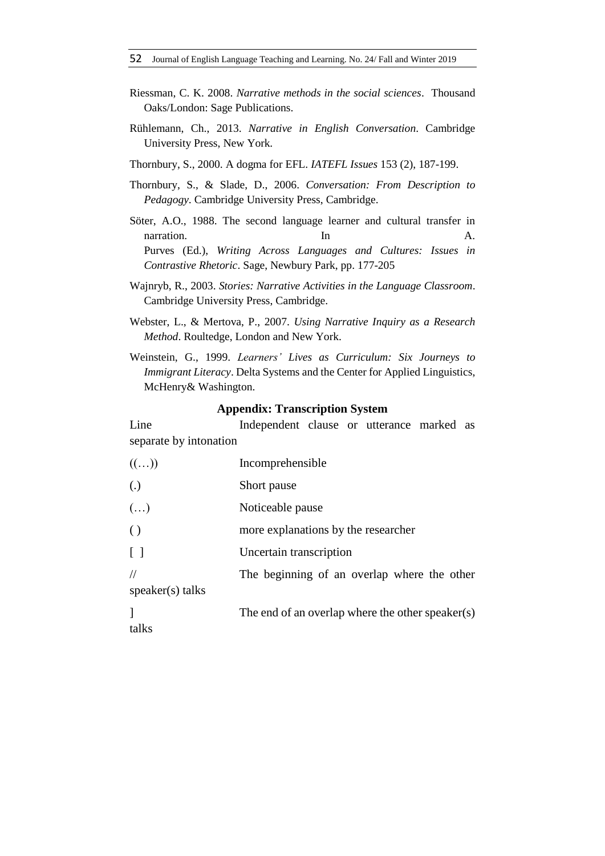- Riessman, C. K. 2008. *Narrative methods in the social sciences*. Thousand Oaks/London: Sage Publications.
- Rühlemann, Ch., 2013. *Narrative in English Conversation*. Cambridge University Press, New York.
- Thornbury, S., 2000. A dogma for EFL. *IATEFL Issues* 153 (2), 187-199.
- Thornbury, S., & Slade, D., 2006. *Conversation: From Description to Pedagogy*. Cambridge University Press, Cambridge.
- Söter, A.O., 1988. The second language learner and cultural transfer in narration. In the set of the set of the set of the set of the set of the set of the set of the set of the set of the set of the set of the set of the set of the set of the set of the set of the set of the set of the set of Purves (Ed.), *Writing Across Languages and Cultures: Issues in Contrastive Rhetoric*. Sage, Newbury Park, pp. 177-205
- Wajnryb, R., 2003. *Stories: Narrative Activities in the Language Classroom*. Cambridge University Press, Cambridge.
- Webster, L., & Mertova, P., 2007. *Using Narrative Inquiry as a Research Method*. Roultedge, London and New York.
- Weinstein, G., 1999. *Learners' Lives as Curriculum: Six Journeys to Immigrant Literacy*. Delta Systems and the Center for Applied Linguistics, McHenry& Washington.

### **Appendix: Transcription System**

Line Independent clause or utterance marked as separate by intonation

| $((\ldots))$           | Incomprehensible                                 |
|------------------------|--------------------------------------------------|
| $\left( .\right)$      | Short pause                                      |
| $(\ldots)$             | Noticeable pause                                 |
| $\left( \ \right)$     | more explanations by the researcher              |
| $\lceil \ \rceil$      | Uncertain transcription                          |
| //<br>speaker(s) talks | The beginning of an overlap where the other      |
| talks                  | The end of an overlap where the other speaker(s) |